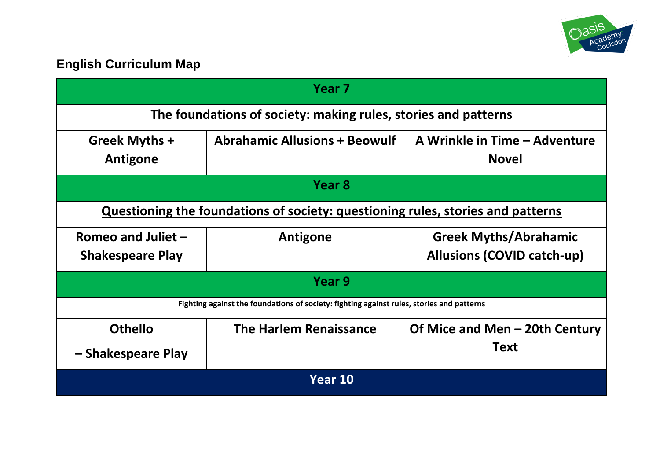

# **English Curriculum Map**

| Year <sub>7</sub>                                                                         |                                      |                                                                   |  |  |
|-------------------------------------------------------------------------------------------|--------------------------------------|-------------------------------------------------------------------|--|--|
| The foundations of society: making rules, stories and patterns                            |                                      |                                                                   |  |  |
| Greek Myths +<br>Antigone                                                                 | <b>Abrahamic Allusions + Beowulf</b> | A Wrinkle in Time - Adventure<br><b>Novel</b>                     |  |  |
| Year 8                                                                                    |                                      |                                                                   |  |  |
| Questioning the foundations of society: questioning rules, stories and patterns           |                                      |                                                                   |  |  |
| Romeo and Juliet $-$<br><b>Shakespeare Play</b>                                           | Antigone                             | <b>Greek Myths/Abrahamic</b><br><b>Allusions (COVID catch-up)</b> |  |  |
| Year 9                                                                                    |                                      |                                                                   |  |  |
| Fighting against the foundations of society: fighting against rules, stories and patterns |                                      |                                                                   |  |  |
| <b>Othello</b>                                                                            | The Harlem Renaissance               | Of Mice and Men – 20th Century                                    |  |  |
| - Shakespeare Play                                                                        |                                      | <b>Text</b>                                                       |  |  |
| Year 10                                                                                   |                                      |                                                                   |  |  |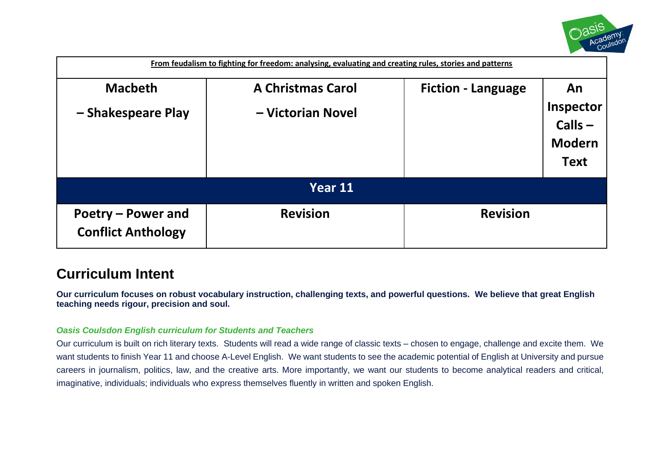

| From feudalism to fighting for freedom: analysing, evaluating and creating rules, stories and patterns |                                               |                           |                                                              |  |
|--------------------------------------------------------------------------------------------------------|-----------------------------------------------|---------------------------|--------------------------------------------------------------|--|
| <b>Macbeth</b><br>- Shakespeare Play                                                                   | <b>A Christmas Carol</b><br>- Victorian Novel | <b>Fiction - Language</b> | An<br>Inspector<br>$Calls -$<br><b>Modern</b><br><b>Text</b> |  |
| Year 11                                                                                                |                                               |                           |                                                              |  |
| Poetry – Power and<br><b>Conflict Anthology</b>                                                        | <b>Revision</b>                               | <b>Revision</b>           |                                                              |  |

# **Curriculum Intent**

**Our curriculum focuses on robust vocabulary instruction, challenging texts, and powerful questions. We believe that great English teaching needs rigour, precision and soul.**

## *Oasis Coulsdon English curriculum for Students and Teachers*

Our curriculum is built on rich literary texts. Students will read a wide range of classic texts – chosen to engage, challenge and excite them. We want students to finish Year 11 and choose A-Level English. We want students to see the academic potential of English at University and pursue careers in journalism, politics, law, and the creative arts. More importantly, we want our students to become analytical readers and critical, imaginative, individuals; individuals who express themselves fluently in written and spoken English.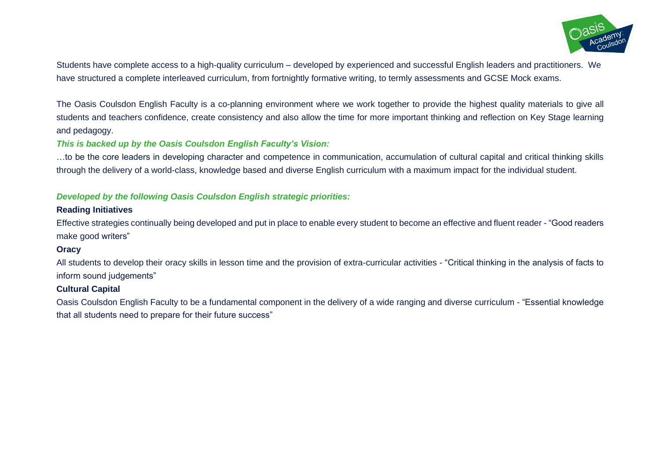

Students have complete access to a high-quality curriculum – developed by experienced and successful English leaders and practitioners. We have structured a complete interleaved curriculum, from fortnightly formative writing, to termly assessments and GCSE Mock exams.

The Oasis Coulsdon English Faculty is a co-planning environment where we work together to provide the highest quality materials to give all students and teachers confidence, create consistency and also allow the time for more important thinking and reflection on Key Stage learning and pedagogy.

#### *This is backed up by the Oasis Coulsdon English Faculty's Vision:*

…to be the core leaders in developing character and competence in communication, accumulation of cultural capital and critical thinking skills through the delivery of a world-class, knowledge based and diverse English curriculum with a maximum impact for the individual student.

#### *Developed by the following Oasis Coulsdon English strategic priorities:*

#### **Reading Initiatives**

Effective strategies continually being developed and put in place to enable every student to become an effective and fluent reader - "Good readers make good writers"

#### **Oracy**

All students to develop their oracy skills in lesson time and the provision of extra-curricular activities - "Critical thinking in the analysis of facts to inform sound judgements"

#### **Cultural Capital**

Oasis Coulsdon English Faculty to be a fundamental component in the delivery of a wide ranging and diverse curriculum - "Essential knowledge that all students need to prepare for their future success"